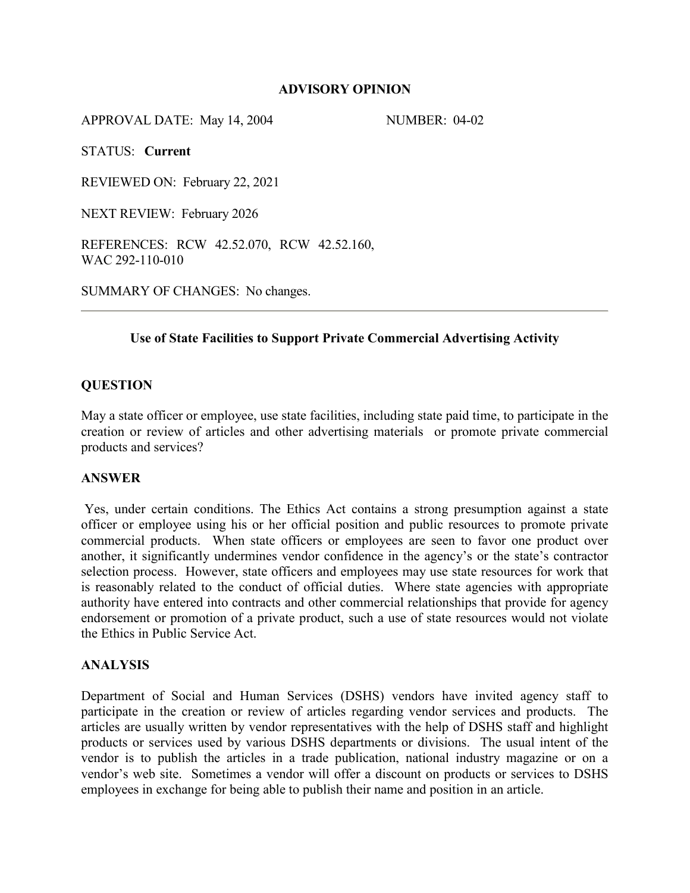## **ADVISORY OPINION**

APPROVAL DATE: May 14, 2004 NUMBER: 04-02

STATUS: **Current**

REVIEWED ON: February 22, 2021

NEXT REVIEW: February 2026

REFERENCES: RCW 42.52.070, RCW 42.52.160, WAC 292-110-010

SUMMARY OF CHANGES: No changes.

## **Use of State Facilities to Support Private Commercial Advertising Activity**

## **QUESTION**

May a state officer or employee, use state facilities, including state paid time, to participate in the creation or review of articles and other advertising materials or promote private commercial products and services?

### **ANSWER**

Yes, under certain conditions. The Ethics Act contains a strong presumption against a state officer or employee using his or her official position and public resources to promote private commercial products. When state officers or employees are seen to favor one product over another, it significantly undermines vendor confidence in the agency's or the state's contractor selection process. However, state officers and employees may use state resources for work that is reasonably related to the conduct of official duties. Where state agencies with appropriate authority have entered into contracts and other commercial relationships that provide for agency endorsement or promotion of a private product, such a use of state resources would not violate the Ethics in Public Service Act.

#### **ANALYSIS**

Department of Social and Human Services (DSHS) vendors have invited agency staff to participate in the creation or review of articles regarding vendor services and products. The articles are usually written by vendor representatives with the help of DSHS staff and highlight products or services used by various DSHS departments or divisions. The usual intent of the vendor is to publish the articles in a trade publication, national industry magazine or on a vendor's web site. Sometimes a vendor will offer a discount on products or services to DSHS employees in exchange for being able to publish their name and position in an article.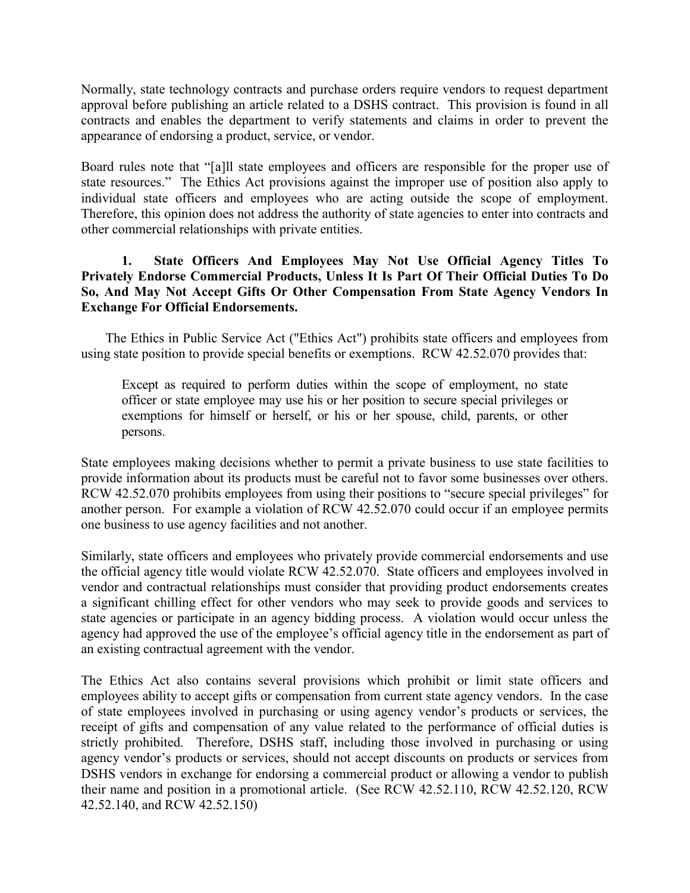Normally, state technology contracts and purchase orders require vendors to request department approval before publishing an article related to a DSHS contract. This provision is found in all contracts and enables the department to verify statements and claims in order to prevent the appearance of endorsing a product, service, or vendor.

Board rules note that "[a]ll state employees and officers are responsible for the proper use of state resources." The Ethics Act provisions against the improper use of position also apply to individual state officers and employees who are acting outside the scope of employment. Therefore, this opinion does not address the authority of state agencies to enter into contracts and other commercial relationships with private entities.

# **1. State Officers And Employees May Not Use Official Agency Titles To Privately Endorse Commercial Products, Unless It Is Part Of Their Official Duties To Do So, And May Not Accept Gifts Or Other Compensation From State Agency Vendors In Exchange For Official Endorsements.**

The Ethics in Public Service Act ("Ethics Act") prohibits state officers and employees from using state position to provide special benefits or exemptions. RCW 42.52.070 provides that:

Except as required to perform duties within the scope of employment, no state officer or state employee may use his or her position to secure special privileges or exemptions for himself or herself, or his or her spouse, child, parents, or other persons.

State employees making decisions whether to permit a private business to use state facilities to provide information about its products must be careful not to favor some businesses over others. RCW 42.52.070 prohibits employees from using their positions to "secure special privileges" for another person. For example a violation of RCW 42.52.070 could occur if an employee permits one business to use agency facilities and not another.

Similarly, state officers and employees who privately provide commercial endorsements and use the official agency title would violate RCW 42.52.070. State officers and employees involved in vendor and contractual relationships must consider that providing product endorsements creates a significant chilling effect for other vendors who may seek to provide goods and services to state agencies or participate in an agency bidding process. A violation would occur unless the agency had approved the use of the employee's official agency title in the endorsement as part of an existing contractual agreement with the vendor.

The Ethics Act also contains several provisions which prohibit or limit state officers and employees ability to accept gifts or compensation from current state agency vendors. In the case of state employees involved in purchasing or using agency vendor's products or services, the receipt of gifts and compensation of any value related to the performance of official duties is strictly prohibited. Therefore, DSHS staff, including those involved in purchasing or using agency vendor's products or services, should not accept discounts on products or services from DSHS vendors in exchange for endorsing a commercial product or allowing a vendor to publish their name and position in a promotional article. (See RCW 42.52.110, RCW 42.52.120, RCW 42.52.140, and RCW 42.52.150)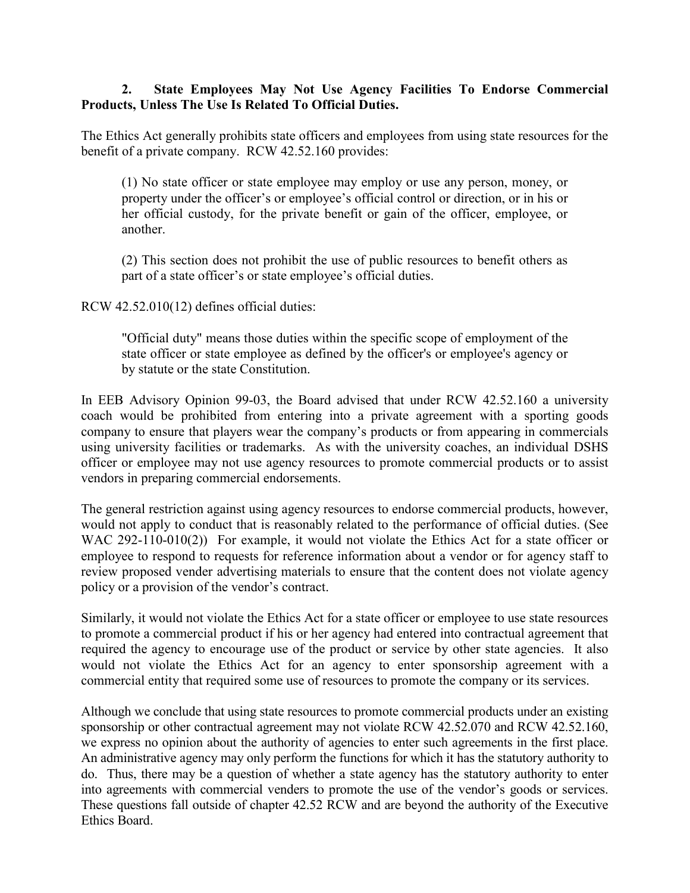# **2. State Employees May Not Use Agency Facilities To Endorse Commercial Products, Unless The Use Is Related To Official Duties.**

The Ethics Act generally prohibits state officers and employees from using state resources for the benefit of a private company. RCW 42.52.160 provides:

(1) No state officer or state employee may employ or use any person, money, or property under the officer's or employee's official control or direction, or in his or her official custody, for the private benefit or gain of the officer, employee, or another.

(2) This section does not prohibit the use of public resources to benefit others as part of a state officer's or state employee's official duties.

RCW 42.52.010(12) defines official duties:

"Official duty" means those duties within the specific scope of employment of the state officer or state employee as defined by the officer's or employee's agency or by statute or the state Constitution.

In EEB Advisory Opinion 99-03, the Board advised that under RCW 42.52.160 a university coach would be prohibited from entering into a private agreement with a sporting goods company to ensure that players wear the company's products or from appearing in commercials using university facilities or trademarks. As with the university coaches, an individual DSHS officer or employee may not use agency resources to promote commercial products or to assist vendors in preparing commercial endorsements.

The general restriction against using agency resources to endorse commercial products, however, would not apply to conduct that is reasonably related to the performance of official duties. (See WAC 292-110-010(2)) For example, it would not violate the Ethics Act for a state officer or employee to respond to requests for reference information about a vendor or for agency staff to review proposed vender advertising materials to ensure that the content does not violate agency policy or a provision of the vendor's contract.

Similarly, it would not violate the Ethics Act for a state officer or employee to use state resources to promote a commercial product if his or her agency had entered into contractual agreement that required the agency to encourage use of the product or service by other state agencies. It also would not violate the Ethics Act for an agency to enter sponsorship agreement with a commercial entity that required some use of resources to promote the company or its services.

Although we conclude that using state resources to promote commercial products under an existing sponsorship or other contractual agreement may not violate RCW 42.52.070 and RCW 42.52.160, we express no opinion about the authority of agencies to enter such agreements in the first place. An administrative agency may only perform the functions for which it has the statutory authority to do. Thus, there may be a question of whether a state agency has the statutory authority to enter into agreements with commercial venders to promote the use of the vendor's goods or services. These questions fall outside of chapter 42.52 RCW and are beyond the authority of the Executive Ethics Board.